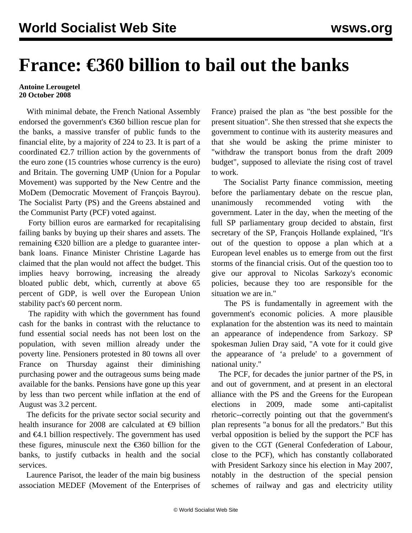## **France: €360 billion to bail out the banks**

## **Antoine Lerougetel 20 October 2008**

 With minimal debate, the French National Assembly endorsed the government's €360 billion rescue plan for the banks, a massive transfer of public funds to the financial elite, by a majority of 224 to 23. It is part of a coordinated  $\epsilon$ 2.7 trillion action by the governments of the euro zone (15 countries whose currency is the euro) and Britain. The governing UMP (Union for a Popular Movement) was supported by the New Centre and the MoDem (Democratic Movement of François Bayrou). The Socialist Party (PS) and the Greens abstained and the Communist Party (PCF) voted against.

 Forty billion euros are earmarked for recapitalising failing banks by buying up their shares and assets. The remaining  $\epsilon$ 320 billion are a pledge to guarantee interbank loans. Finance Minister Christine Lagarde has claimed that the plan would not affect the budget. This implies heavy borrowing, increasing the already bloated public debt, which, currently at above 65 percent of GDP, is well over the European Union stability pact's 60 percent norm.

 The rapidity with which the government has found cash for the banks in contrast with the reluctance to fund essential social needs has not been lost on the population, with seven million already under the poverty line. Pensioners protested in 80 towns all over France on Thursday against their diminishing purchasing power and the outrageous sums being made available for the banks. Pensions have gone up this year by less than two percent while inflation at the end of August was 3.2 percent.

 The deficits for the private sector social security and health insurance for 2008 are calculated at  $\epsilon$ 9 billion and  $\epsilon$ 4.1 billion respectively. The government has used these figures, minuscule next the  $\epsilon$ 360 billion for the banks, to justify cutbacks in health and the social services.

 Laurence Parisot, the leader of the main big business association MEDEF (Movement of the Enterprises of France) praised the plan as "the best possible for the present situation". She then stressed that she expects the government to continue with its austerity measures and that she would be asking the prime minister to "withdraw the transport bonus from the draft 2009 budget", supposed to alleviate the rising cost of travel to work.

 The Socialist Party finance commission, meeting before the parliamentary debate on the rescue plan, unanimously recommended voting with the government. Later in the day, when the meeting of the full SP parliamentary group decided to abstain, first secretary of the SP, François Hollande explained, "It's out of the question to oppose a plan which at a European level enables us to emerge from out the first storms of the financial crisis. Out of the question too to give our approval to Nicolas Sarkozy's economic policies, because they too are responsible for the situation we are in."

 The PS is fundamentally in agreement with the government's economic policies. A more plausible explanation for the abstention was its need to maintain an appearance of independence from Sarkozy. SP spokesman Julien Dray said, "A vote for it could give the appearance of 'a prelude' to a government of national unity."

 The PCF, for decades the junior partner of the PS, in and out of government, and at present in an electoral alliance with the PS and the Greens for the European elections in 2009, made some anti-capitalist rhetoric--correctly pointing out that the government's plan represents "a bonus for all the predators." But this verbal opposition is belied by the support the PCF has given to the CGT (General Confederation of Labour, close to the PCF), which has constantly collaborated with President Sarkozy since his election in May 2007, notably in the destruction of the special pension schemes of railway and gas and electricity utility